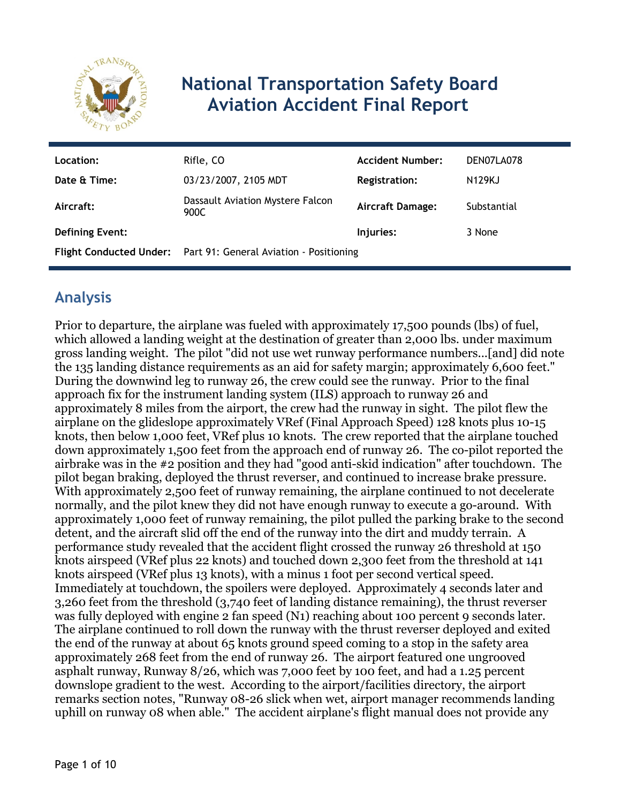

## **National Transportation Safety Board Aviation Accident Final Report**

| Location:              | Rifle, CO                                                       | <b>Accident Number:</b> | DEN07LA078    |
|------------------------|-----------------------------------------------------------------|-------------------------|---------------|
| Date & Time:           | 03/23/2007, 2105 MDT                                            | <b>Registration:</b>    | <b>N129KJ</b> |
| Aircraft:              | Dassault Aviation Mystere Falcon<br>900C                        | <b>Aircraft Damage:</b> | Substantial   |
| <b>Defining Event:</b> |                                                                 | Injuries:               | 3 None        |
|                        | Flight Conducted Under: Part 91: General Aviation - Positioning |                         |               |

## **Analysis**

Prior to departure, the airplane was fueled with approximately 17,500 pounds (lbs) of fuel, which allowed a landing weight at the destination of greater than 2,000 lbs. under maximum gross landing weight. The pilot "did not use wet runway performance numbers...[and] did note the 135 landing distance requirements as an aid for safety margin; approximately 6,600 feet." During the downwind leg to runway 26, the crew could see the runway. Prior to the final approach fix for the instrument landing system (ILS) approach to runway 26 and approximately 8 miles from the airport, the crew had the runway in sight. The pilot flew the airplane on the glideslope approximately VRef (Final Approach Speed) 128 knots plus 10-15 knots, then below 1,000 feet, VRef plus 10 knots. The crew reported that the airplane touched down approximately 1,500 feet from the approach end of runway 26. The co-pilot reported the airbrake was in the #2 position and they had "good anti-skid indication" after touchdown. The pilot began braking, deployed the thrust reverser, and continued to increase brake pressure. With approximately 2,500 feet of runway remaining, the airplane continued to not decelerate normally, and the pilot knew they did not have enough runway to execute a go-around. With approximately 1,000 feet of runway remaining, the pilot pulled the parking brake to the second detent, and the aircraft slid off the end of the runway into the dirt and muddy terrain. A performance study revealed that the accident flight crossed the runway 26 threshold at 150 knots airspeed (VRef plus 22 knots) and touched down 2,300 feet from the threshold at 141 knots airspeed (VRef plus 13 knots), with a minus 1 foot per second vertical speed. Immediately at touchdown, the spoilers were deployed. Approximately 4 seconds later and 3,260 feet from the threshold (3,740 feet of landing distance remaining), the thrust reverser was fully deployed with engine 2 fan speed (N1) reaching about 100 percent 9 seconds later. The airplane continued to roll down the runway with the thrust reverser deployed and exited the end of the runway at about 65 knots ground speed coming to a stop in the safety area approximately 268 feet from the end of runway 26. The airport featured one ungrooved asphalt runway, Runway 8/26, which was 7,000 feet by 100 feet, and had a 1.25 percent downslope gradient to the west. According to the airport/facilities directory, the airport remarks section notes, "Runway 08-26 slick when wet, airport manager recommends landing uphill on runway 08 when able." The accident airplane's flight manual does not provide any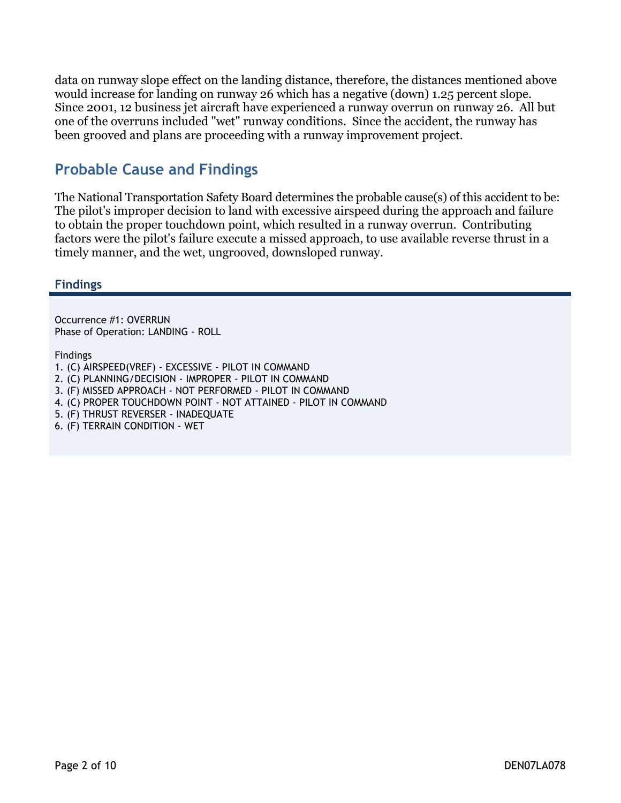data on runway slope effect on the landing distance, therefore, the distances mentioned above would increase for landing on runway 26 which has a negative (down) 1.25 percent slope. Since 2001, 12 business jet aircraft have experienced a runway overrun on runway 26. All but one of the overruns included "wet" runway conditions. Since the accident, the runway has been grooved and plans are proceeding with a runway improvement project.

## **Probable Cause and Findings**

The National Transportation Safety Board determines the probable cause(s) of this accident to be: The pilot's improper decision to land with excessive airspeed during the approach and failure to obtain the proper touchdown point, which resulted in a runway overrun. Contributing factors were the pilot's failure execute a missed approach, to use available reverse thrust in a timely manner, and the wet, ungrooved, downsloped runway.

#### **Findings**

Occurrence #1: OVERRUN Phase of Operation: LANDING - ROLL

Findings

- 1. (C) AIRSPEED(VREF) EXCESSIVE PILOT IN COMMAND
- 2. (C) PLANNING/DECISION IMPROPER PILOT IN COMMAND
- 3. (F) MISSED APPROACH NOT PERFORMED PILOT IN COMMAND
- 4. (C) PROPER TOUCHDOWN POINT NOT ATTAINED PILOT IN COMMAND
- 5. (F) THRUST REVERSER INADEQUATE
- 6. (F) TERRAIN CONDITION WET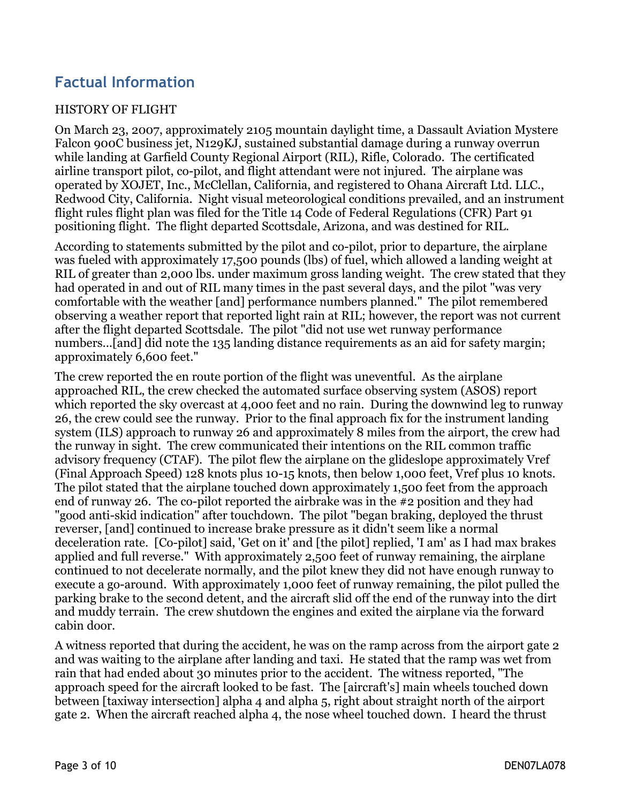## **Factual Information**

#### HISTORY OF FLIGHT

On March 23, 2007, approximately 2105 mountain daylight time, a Dassault Aviation Mystere Falcon 900C business jet, N129KJ, sustained substantial damage during a runway overrun while landing at Garfield County Regional Airport (RIL), Rifle, Colorado. The certificated airline transport pilot, co-pilot, and flight attendant were not injured. The airplane was operated by XOJET, Inc., McClellan, California, and registered to Ohana Aircraft Ltd. LLC., Redwood City, California. Night visual meteorological conditions prevailed, and an instrument flight rules flight plan was filed for the Title 14 Code of Federal Regulations (CFR) Part 91 positioning flight. The flight departed Scottsdale, Arizona, and was destined for RIL.

According to statements submitted by the pilot and co-pilot, prior to departure, the airplane was fueled with approximately 17,500 pounds (lbs) of fuel, which allowed a landing weight at RIL of greater than 2,000 lbs. under maximum gross landing weight. The crew stated that they had operated in and out of RIL many times in the past several days, and the pilot "was very comfortable with the weather [and] performance numbers planned." The pilot remembered observing a weather report that reported light rain at RIL; however, the report was not current after the flight departed Scottsdale. The pilot "did not use wet runway performance numbers...[and] did note the 135 landing distance requirements as an aid for safety margin; approximately 6,600 feet."

The crew reported the en route portion of the flight was uneventful. As the airplane approached RIL, the crew checked the automated surface observing system (ASOS) report which reported the sky overcast at 4,000 feet and no rain. During the downwind leg to runway 26, the crew could see the runway. Prior to the final approach fix for the instrument landing system (ILS) approach to runway 26 and approximately 8 miles from the airport, the crew had the runway in sight. The crew communicated their intentions on the RIL common traffic advisory frequency (CTAF). The pilot flew the airplane on the glideslope approximately Vref (Final Approach Speed) 128 knots plus 10-15 knots, then below 1,000 feet, Vref plus 10 knots. The pilot stated that the airplane touched down approximately 1,500 feet from the approach end of runway 26. The co-pilot reported the airbrake was in the #2 position and they had "good anti-skid indication" after touchdown. The pilot "began braking, deployed the thrust reverser, [and] continued to increase brake pressure as it didn't seem like a normal deceleration rate. [Co-pilot] said, 'Get on it' and [the pilot] replied, 'I am' as I had max brakes applied and full reverse." With approximately 2,500 feet of runway remaining, the airplane continued to not decelerate normally, and the pilot knew they did not have enough runway to execute a go-around. With approximately 1,000 feet of runway remaining, the pilot pulled the parking brake to the second detent, and the aircraft slid off the end of the runway into the dirt and muddy terrain. The crew shutdown the engines and exited the airplane via the forward cabin door.

A witness reported that during the accident, he was on the ramp across from the airport gate 2 and was waiting to the airplane after landing and taxi. He stated that the ramp was wet from rain that had ended about 30 minutes prior to the accident. The witness reported, "The approach speed for the aircraft looked to be fast. The [aircraft's] main wheels touched down between [taxiway intersection] alpha 4 and alpha 5, right about straight north of the airport gate 2. When the aircraft reached alpha 4, the nose wheel touched down. I heard the thrust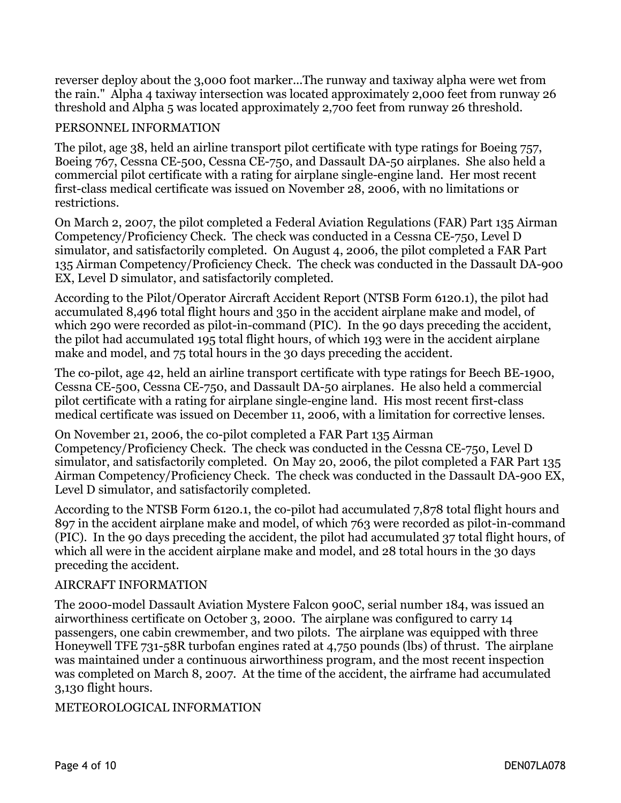reverser deploy about the 3,000 foot marker...The runway and taxiway alpha were wet from the rain." Alpha 4 taxiway intersection was located approximately 2,000 feet from runway 26 threshold and Alpha 5 was located approximately 2,700 feet from runway 26 threshold.

#### PERSONNEL INFORMATION

The pilot, age 38, held an airline transport pilot certificate with type ratings for Boeing 757, Boeing 767, Cessna CE-500, Cessna CE-750, and Dassault DA-50 airplanes. She also held a commercial pilot certificate with a rating for airplane single-engine land. Her most recent first-class medical certificate was issued on November 28, 2006, with no limitations or restrictions.

On March 2, 2007, the pilot completed a Federal Aviation Regulations (FAR) Part 135 Airman Competency/Proficiency Check. The check was conducted in a Cessna CE-750, Level D simulator, and satisfactorily completed. On August 4, 2006, the pilot completed a FAR Part 135 Airman Competency/Proficiency Check. The check was conducted in the Dassault DA-900 EX, Level D simulator, and satisfactorily completed.

According to the Pilot/Operator Aircraft Accident Report (NTSB Form 6120.1), the pilot had accumulated 8,496 total flight hours and 350 in the accident airplane make and model, of which 290 were recorded as pilot-in-command (PIC). In the 90 days preceding the accident, the pilot had accumulated 195 total flight hours, of which 193 were in the accident airplane make and model, and 75 total hours in the 30 days preceding the accident.

The co-pilot, age 42, held an airline transport certificate with type ratings for Beech BE-1900, Cessna CE-500, Cessna CE-750, and Dassault DA-50 airplanes. He also held a commercial pilot certificate with a rating for airplane single-engine land. His most recent first-class medical certificate was issued on December 11, 2006, with a limitation for corrective lenses.

On November 21, 2006, the co-pilot completed a FAR Part 135 Airman Competency/Proficiency Check. The check was conducted in the Cessna CE-750, Level D simulator, and satisfactorily completed. On May 20, 2006, the pilot completed a FAR Part 135 Airman Competency/Proficiency Check. The check was conducted in the Dassault DA-900 EX, Level D simulator, and satisfactorily completed.

According to the NTSB Form 6120.1, the co-pilot had accumulated 7,878 total flight hours and 897 in the accident airplane make and model, of which 763 were recorded as pilot-in-command (PIC). In the 90 days preceding the accident, the pilot had accumulated 37 total flight hours, of which all were in the accident airplane make and model, and 28 total hours in the 30 days preceding the accident.

#### AIRCRAFT INFORMATION

The 2000-model Dassault Aviation Mystere Falcon 900C, serial number 184, was issued an airworthiness certificate on October 3, 2000. The airplane was configured to carry 14 passengers, one cabin crewmember, and two pilots. The airplane was equipped with three Honeywell TFE 731-58R turbofan engines rated at 4,750 pounds (lbs) of thrust. The airplane was maintained under a continuous airworthiness program, and the most recent inspection was completed on March 8, 2007. At the time of the accident, the airframe had accumulated 3,130 flight hours.

#### METEOROLOGICAL INFORMATION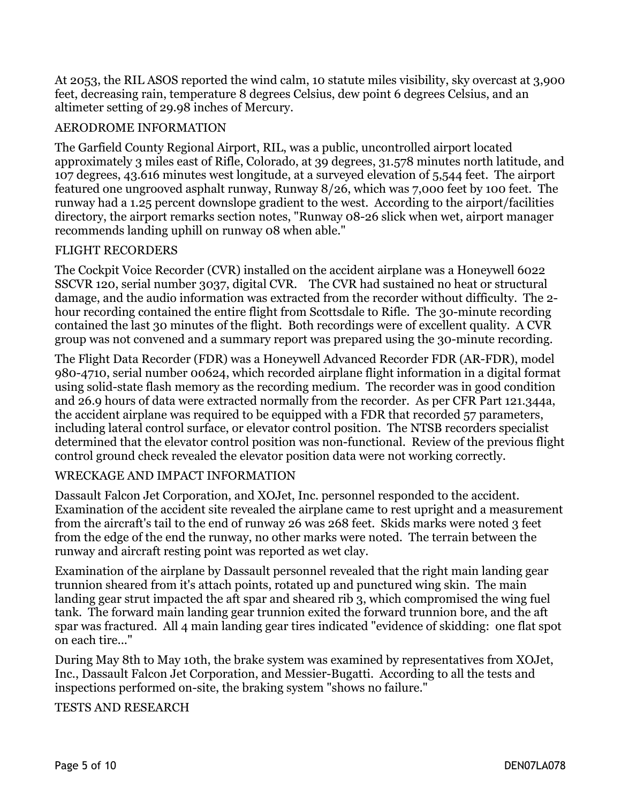At 2053, the RIL ASOS reported the wind calm, 10 statute miles visibility, sky overcast at 3,900 feet, decreasing rain, temperature 8 degrees Celsius, dew point 6 degrees Celsius, and an altimeter setting of 29.98 inches of Mercury.

#### AERODROME INFORMATION

The Garfield County Regional Airport, RIL, was a public, uncontrolled airport located approximately 3 miles east of Rifle, Colorado, at 39 degrees, 31.578 minutes north latitude, and 107 degrees, 43.616 minutes west longitude, at a surveyed elevation of 5,544 feet. The airport featured one ungrooved asphalt runway, Runway 8/26, which was 7,000 feet by 100 feet. The runway had a 1.25 percent downslope gradient to the west. According to the airport/facilities directory, the airport remarks section notes, "Runway 08-26 slick when wet, airport manager recommends landing uphill on runway 08 when able."

#### FLIGHT RECORDERS

The Cockpit Voice Recorder (CVR) installed on the accident airplane was a Honeywell 6022 SSCVR 120, serial number 3037, digital CVR. The CVR had sustained no heat or structural damage, and the audio information was extracted from the recorder without difficulty. The 2 hour recording contained the entire flight from Scottsdale to Rifle. The 30-minute recording contained the last 30 minutes of the flight. Both recordings were of excellent quality. A CVR group was not convened and a summary report was prepared using the 30-minute recording.

The Flight Data Recorder (FDR) was a Honeywell Advanced Recorder FDR (AR-FDR), model 980-4710, serial number 00624, which recorded airplane flight information in a digital format using solid-state flash memory as the recording medium. The recorder was in good condition and 26.9 hours of data were extracted normally from the recorder. As per CFR Part 121.344a, the accident airplane was required to be equipped with a FDR that recorded 57 parameters, including lateral control surface, or elevator control position. The NTSB recorders specialist determined that the elevator control position was non-functional. Review of the previous flight control ground check revealed the elevator position data were not working correctly.

#### WRECKAGE AND IMPACT INFORMATION

Dassault Falcon Jet Corporation, and XOJet, Inc. personnel responded to the accident. Examination of the accident site revealed the airplane came to rest upright and a measurement from the aircraft's tail to the end of runway 26 was 268 feet. Skids marks were noted 3 feet from the edge of the end the runway, no other marks were noted. The terrain between the runway and aircraft resting point was reported as wet clay.

Examination of the airplane by Dassault personnel revealed that the right main landing gear trunnion sheared from it's attach points, rotated up and punctured wing skin. The main landing gear strut impacted the aft spar and sheared rib 3, which compromised the wing fuel tank. The forward main landing gear trunnion exited the forward trunnion bore, and the aft spar was fractured. All 4 main landing gear tires indicated "evidence of skidding: one flat spot on each tire..."

During May 8th to May 10th, the brake system was examined by representatives from XOJet, Inc., Dassault Falcon Jet Corporation, and Messier-Bugatti. According to all the tests and inspections performed on-site, the braking system "shows no failure."

TESTS AND RESEARCH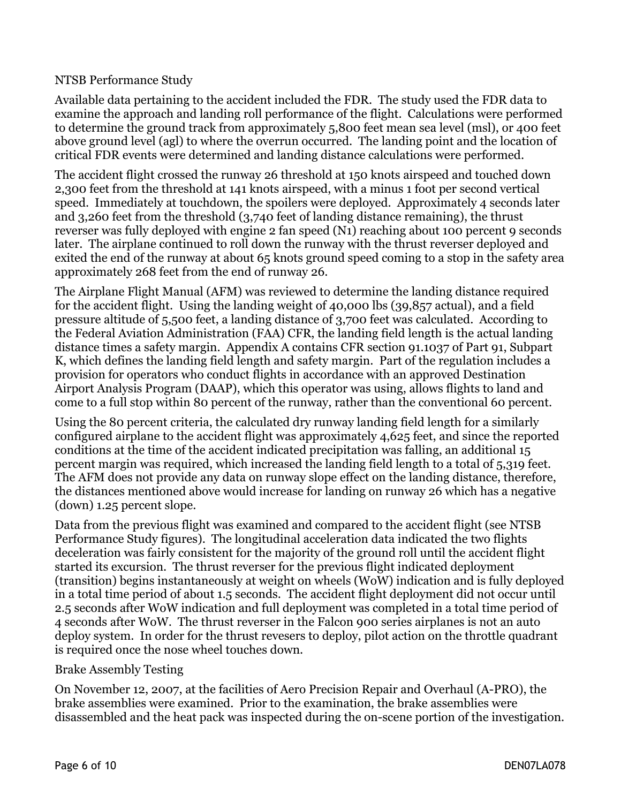#### NTSB Performance Study

Available data pertaining to the accident included the FDR. The study used the FDR data to examine the approach and landing roll performance of the flight. Calculations were performed to determine the ground track from approximately 5,800 feet mean sea level (msl), or 400 feet above ground level (agl) to where the overrun occurred. The landing point and the location of critical FDR events were determined and landing distance calculations were performed.

The accident flight crossed the runway 26 threshold at 150 knots airspeed and touched down 2,300 feet from the threshold at 141 knots airspeed, with a minus 1 foot per second vertical speed. Immediately at touchdown, the spoilers were deployed. Approximately 4 seconds later and 3,260 feet from the threshold (3,740 feet of landing distance remaining), the thrust reverser was fully deployed with engine 2 fan speed (N1) reaching about 100 percent 9 seconds later. The airplane continued to roll down the runway with the thrust reverser deployed and exited the end of the runway at about 65 knots ground speed coming to a stop in the safety area approximately 268 feet from the end of runway 26.

The Airplane Flight Manual (AFM) was reviewed to determine the landing distance required for the accident flight. Using the landing weight of 40,000 lbs (39,857 actual), and a field pressure altitude of 5,500 feet, a landing distance of 3,700 feet was calculated. According to the Federal Aviation Administration (FAA) CFR, the landing field length is the actual landing distance times a safety margin. Appendix A contains CFR section 91.1037 of Part 91, Subpart K, which defines the landing field length and safety margin. Part of the regulation includes a provision for operators who conduct flights in accordance with an approved Destination Airport Analysis Program (DAAP), which this operator was using, allows flights to land and come to a full stop within 80 percent of the runway, rather than the conventional 60 percent.

Using the 80 percent criteria, the calculated dry runway landing field length for a similarly configured airplane to the accident flight was approximately 4,625 feet, and since the reported conditions at the time of the accident indicated precipitation was falling, an additional 15 percent margin was required, which increased the landing field length to a total of 5,319 feet. The AFM does not provide any data on runway slope effect on the landing distance, therefore, the distances mentioned above would increase for landing on runway 26 which has a negative (down) 1.25 percent slope.

Data from the previous flight was examined and compared to the accident flight (see NTSB Performance Study figures). The longitudinal acceleration data indicated the two flights deceleration was fairly consistent for the majority of the ground roll until the accident flight started its excursion. The thrust reverser for the previous flight indicated deployment (transition) begins instantaneously at weight on wheels (WoW) indication and is fully deployed in a total time period of about 1.5 seconds. The accident flight deployment did not occur until 2.5 seconds after WoW indication and full deployment was completed in a total time period of 4 seconds after WoW. The thrust reverser in the Falcon 900 series airplanes is not an auto deploy system. In order for the thrust revesers to deploy, pilot action on the throttle quadrant is required once the nose wheel touches down.

#### Brake Assembly Testing

On November 12, 2007, at the facilities of Aero Precision Repair and Overhaul (A-PRO), the brake assemblies were examined. Prior to the examination, the brake assemblies were disassembled and the heat pack was inspected during the on-scene portion of the investigation.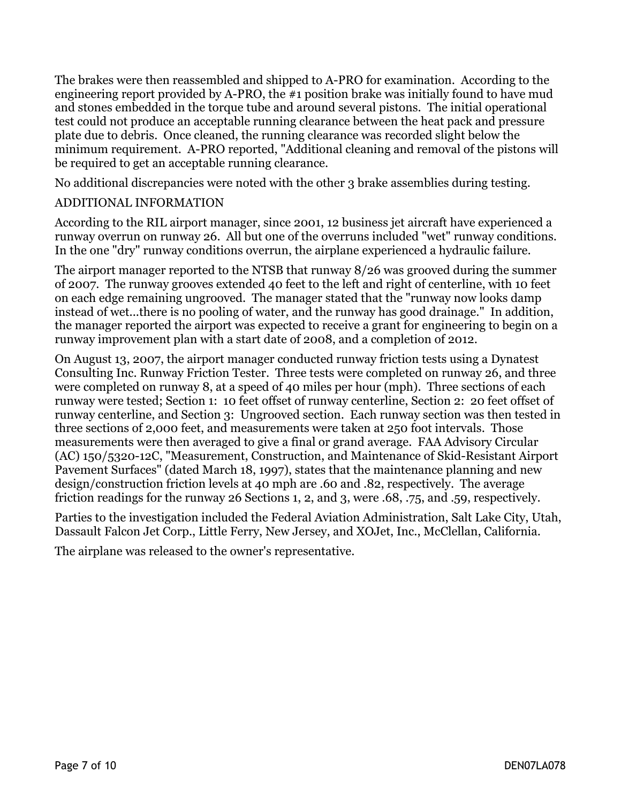The brakes were then reassembled and shipped to A-PRO for examination. According to the engineering report provided by A-PRO, the #1 position brake was initially found to have mud and stones embedded in the torque tube and around several pistons. The initial operational test could not produce an acceptable running clearance between the heat pack and pressure plate due to debris. Once cleaned, the running clearance was recorded slight below the minimum requirement. A-PRO reported, "Additional cleaning and removal of the pistons will be required to get an acceptable running clearance.

No additional discrepancies were noted with the other 3 brake assemblies during testing.

#### ADDITIONAL INFORMATION

According to the RIL airport manager, since 2001, 12 business jet aircraft have experienced a runway overrun on runway 26. All but one of the overruns included "wet" runway conditions. In the one "dry" runway conditions overrun, the airplane experienced a hydraulic failure.

The airport manager reported to the NTSB that runway 8/26 was grooved during the summer of 2007. The runway grooves extended 40 feet to the left and right of centerline, with 10 feet on each edge remaining ungrooved. The manager stated that the "runway now looks damp instead of wet...there is no pooling of water, and the runway has good drainage." In addition, the manager reported the airport was expected to receive a grant for engineering to begin on a runway improvement plan with a start date of 2008, and a completion of 2012.

On August 13, 2007, the airport manager conducted runway friction tests using a Dynatest Consulting Inc. Runway Friction Tester. Three tests were completed on runway 26, and three were completed on runway 8, at a speed of 40 miles per hour (mph). Three sections of each runway were tested; Section 1: 10 feet offset of runway centerline, Section 2: 20 feet offset of runway centerline, and Section 3: Ungrooved section. Each runway section was then tested in three sections of 2,000 feet, and measurements were taken at 250 foot intervals. Those measurements were then averaged to give a final or grand average. FAA Advisory Circular (AC) 150/5320-12C, "Measurement, Construction, and Maintenance of Skid-Resistant Airport Pavement Surfaces" (dated March 18, 1997), states that the maintenance planning and new design/construction friction levels at 40 mph are .60 and .82, respectively. The average friction readings for the runway 26 Sections 1, 2, and 3, were .68, .75, and .59, respectively.

Parties to the investigation included the Federal Aviation Administration, Salt Lake City, Utah, Dassault Falcon Jet Corp., Little Ferry, New Jersey, and XOJet, Inc., McClellan, California.

The airplane was released to the owner's representative.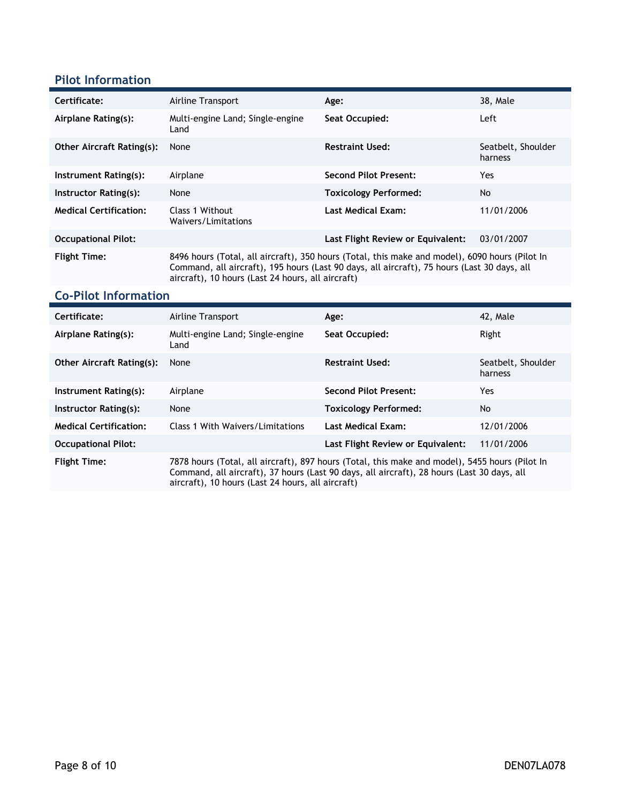#### **Pilot Information**

| Certificate:                     | Airline Transport                                                                                                                                                                                                                                  | Age:                              | 38, Male                      |
|----------------------------------|----------------------------------------------------------------------------------------------------------------------------------------------------------------------------------------------------------------------------------------------------|-----------------------------------|-------------------------------|
| Airplane Rating(s):              | Multi-engine Land; Single-engine<br>Land                                                                                                                                                                                                           | Seat Occupied:                    | Left                          |
| <b>Other Aircraft Rating(s):</b> | None                                                                                                                                                                                                                                               | <b>Restraint Used:</b>            | Seatbelt, Shoulder<br>harness |
| Instrument Rating(s):            | Airplane                                                                                                                                                                                                                                           | <b>Second Pilot Present:</b>      | Yes                           |
| Instructor Rating(s):            | None                                                                                                                                                                                                                                               | <b>Toxicology Performed:</b>      | No                            |
| <b>Medical Certification:</b>    | Class 1 Without<br>Waivers/Limitations                                                                                                                                                                                                             | <b>Last Medical Exam:</b>         | 11/01/2006                    |
| <b>Occupational Pilot:</b>       |                                                                                                                                                                                                                                                    | Last Flight Review or Equivalent: | 03/01/2007                    |
| <b>Flight Time:</b>              | 8496 hours (Total, all aircraft), 350 hours (Total, this make and model), 6090 hours (Pilot In<br>Command, all aircraft), 195 hours (Last 90 days, all aircraft), 75 hours (Last 30 days, all<br>aircraft), 10 hours (Last 24 hours, all aircraft) |                                   |                               |

# **Co-Pilot Information**

| Certificate:                     | Airline Transport                                                                                                                                                                                                                                 | Age:                         | 42. Male                      |  |
|----------------------------------|---------------------------------------------------------------------------------------------------------------------------------------------------------------------------------------------------------------------------------------------------|------------------------------|-------------------------------|--|
| Airplane Rating(s):              | Multi-engine Land; Single-engine<br>Land                                                                                                                                                                                                          | Seat Occupied:               | Right                         |  |
| <b>Other Aircraft Rating(s):</b> | None                                                                                                                                                                                                                                              | <b>Restraint Used:</b>       | Seatbelt, Shoulder<br>harness |  |
| Instrument Rating(s):            | Airplane                                                                                                                                                                                                                                          | Second Pilot Present:        | Yes                           |  |
| Instructor Rating(s):            | None                                                                                                                                                                                                                                              | <b>Toxicology Performed:</b> | No                            |  |
| <b>Medical Certification:</b>    | Class 1 With Waivers/Limitations                                                                                                                                                                                                                  | Last Medical Exam:           | 12/01/2006                    |  |
| <b>Occupational Pilot:</b>       | Last Flight Review or Equivalent:<br>11/01/2006                                                                                                                                                                                                   |                              |                               |  |
| <b>Flight Time:</b>              | 7878 hours (Total, all aircraft), 897 hours (Total, this make and model), 5455 hours (Pilot In<br>Command, all aircraft), 37 hours (Last 90 days, all aircraft), 28 hours (Last 30 days, all<br>aircraft), 10 hours (Last 24 hours, all aircraft) |                              |                               |  |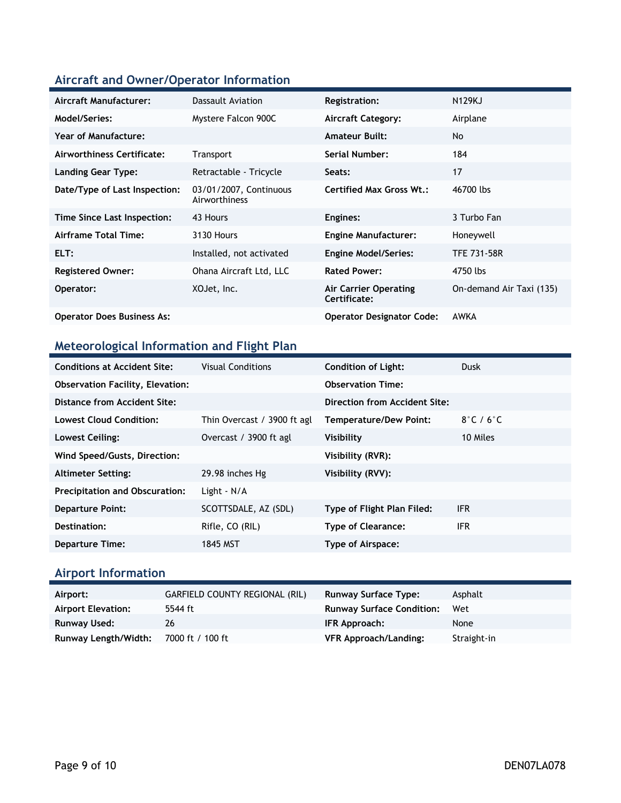## **Aircraft and Owner/Operator Information**

| Aircraft Manufacturer:            | Dassault Aviation                       | <b>Registration:</b>                         | <b>N129KJ</b>            |
|-----------------------------------|-----------------------------------------|----------------------------------------------|--------------------------|
| Model/Series:                     | Mystere Falcon 900C                     | <b>Aircraft Category:</b>                    | Airplane                 |
| Year of Manufacture:              |                                         | <b>Amateur Built:</b>                        | <b>No</b>                |
| Airworthiness Certificate:        | <b>Transport</b>                        | Serial Number:                               | 184                      |
| <b>Landing Gear Type:</b>         | Retractable - Tricycle                  | Seats:                                       | 17                       |
| Date/Type of Last Inspection:     | 03/01/2007, Continuous<br>Airworthiness | <b>Certified Max Gross Wt.:</b>              | 46700 lbs                |
| Time Since Last Inspection:       | 43 Hours                                | Engines:                                     | 3 Turbo Fan              |
| Airframe Total Time:              | 3130 Hours                              | <b>Engine Manufacturer:</b>                  | Honeywell                |
| ELT:                              | Installed, not activated                | <b>Engine Model/Series:</b>                  | <b>TFE 731-58R</b>       |
| <b>Registered Owner:</b>          | Ohana Aircraft Ltd, LLC                 | <b>Rated Power:</b>                          | 4750 lbs                 |
| Operator:                         | XOJet, Inc.                             | <b>Air Carrier Operating</b><br>Certificate: | On-demand Air Taxi (135) |
| <b>Operator Does Business As:</b> |                                         | <b>Operator Designator Code:</b>             | AWKA                     |

## **Meteorological Information and Flight Plan**

| <b>Conditions at Accident Site:</b>     | <b>Visual Conditions</b>    | <b>Condition of Light:</b>    | Dusk                       |
|-----------------------------------------|-----------------------------|-------------------------------|----------------------------|
| <b>Observation Facility, Elevation:</b> |                             | <b>Observation Time:</b>      |                            |
| Distance from Accident Site:            |                             | Direction from Accident Site: |                            |
| Lowest Cloud Condition:                 | Thin Overcast / 3900 ft agl | <b>Temperature/Dew Point:</b> | $8^\circ$ C / 6 $^\circ$ C |
| Lowest Ceiling:                         | Overcast / 3900 ft agl      | Visibility                    | 10 Miles                   |
| Wind Speed/Gusts, Direction:            |                             | Visibility (RVR):             |                            |
| <b>Altimeter Setting:</b>               | 29.98 inches Hg             | Visibility (RVV):             |                            |
| <b>Precipitation and Obscuration:</b>   | Light $-N/A$                |                               |                            |
| <b>Departure Point:</b>                 | SCOTTSDALE, AZ (SDL)        | Type of Flight Plan Filed:    | <b>IFR</b>                 |
| Destination:                            | Rifle, CO (RIL)             | <b>Type of Clearance:</b>     | IFR.                       |
| <b>Departure Time:</b>                  | 1845 MST                    | Type of Airspace:             |                            |

## **Airport Information**

| Airport:                  | <b>GARFIELD COUNTY REGIONAL (RIL)</b> | <b>Runway Surface Type:</b>      | Asphalt     |
|---------------------------|---------------------------------------|----------------------------------|-------------|
| <b>Airport Elevation:</b> | 5544 ft                               | <b>Runway Surface Condition:</b> | Wet         |
| <b>Runway Used:</b>       | 26                                    | IFR Approach:                    | None        |
| Runway Length/Width:      | 7000 ft / 100 ft                      | VFR Approach/Landing:            | Straight-in |